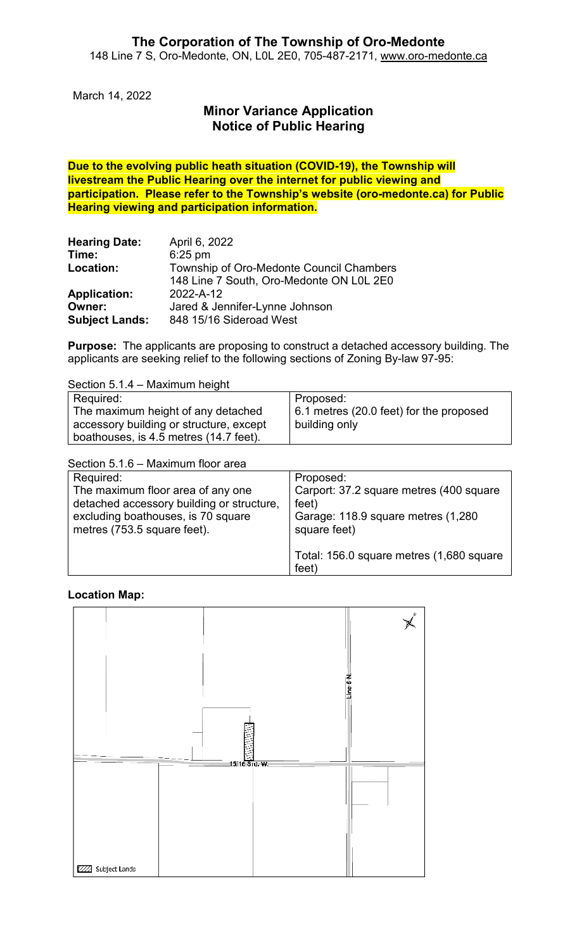March 14, 2022

# **Minor Variance Application Notice of Public Hearing**

**Due to the evolving public heath situation (COVID-19), the Township will livestream the Public Hearing over the internet for public viewing and participation. Please refer to the Township's website (oro-medonte.ca) for Public Hearing viewing and participation information.**

| <b>Hearing Date:</b>  | April 6, 2022                            |
|-----------------------|------------------------------------------|
| Time:                 | $6:25$ pm                                |
| Location:             | Township of Oro-Medonte Council Chambers |
|                       | 148 Line 7 South, Oro-Medonte ON L0L 2E0 |
| <b>Application:</b>   | 2022-A-12                                |
| Owner:                | Jared & Jennifer-Lynne Johnson           |
| <b>Subject Lands:</b> | 848 15/16 Sideroad West                  |

**Purpose:** The applicants are proposing to construct a detached accessory building. The applicants are seeking relief to the following sections of Zoning By-law 97-95:

Section 5.1.4 – Maximum height

| Required:                               | Proposed:                                       |
|-----------------------------------------|-------------------------------------------------|
| The maximum height of any detached      | $\vert$ 6.1 metres (20.0 feet) for the proposed |
| accessory building or structure, except | building only                                   |
| boathouses, is 4.5 metres (14.7 feet).  |                                                 |

Section 5.1.6 – Maximum floor area

| Required:                                                                                                                                           | Proposed:                                                                                              |
|-----------------------------------------------------------------------------------------------------------------------------------------------------|--------------------------------------------------------------------------------------------------------|
| The maximum floor area of any one<br>detached accessory building or structure,<br>excluding boathouses, is 70 square<br>metres (753.5 square feet). | Carport: 37.2 square metres (400 square<br>feet)<br>Garage: 118.9 square metres (1,280<br>square feet) |
|                                                                                                                                                     | Total: 156.0 square metres (1,680 square<br>feet)                                                      |

#### **Location Map:**

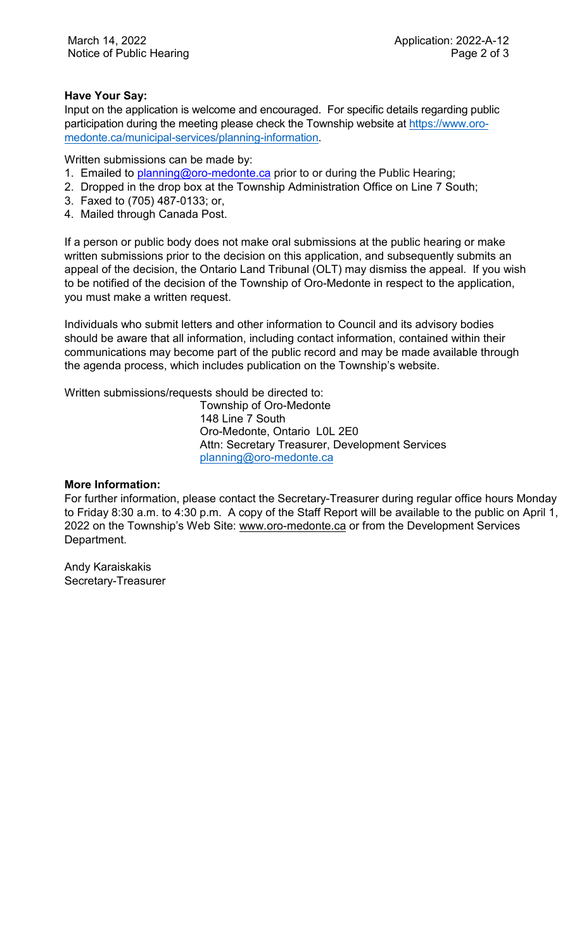## **Have Your Say:**

Input on the application is welcome and encouraged. For specific details regarding public participation during the meeting please check the Township website at [https://www.oro](https://www.oro-medonte.ca/municipal-services/planning-information)[medonte.ca/municipal-services/planning-information.](https://www.oro-medonte.ca/municipal-services/planning-information)

Written submissions can be made by:

- 1. Emailed to [planning@oro-medonte.ca](mailto:planning@oro-medonte.ca) prior to or during the Public Hearing;
- 2. Dropped in the drop box at the Township Administration Office on Line 7 South;
- 3. Faxed to (705) 487-0133; or,
- 4. Mailed through Canada Post.

If a person or public body does not make oral submissions at the public hearing or make written submissions prior to the decision on this application, and subsequently submits an appeal of the decision, the Ontario Land Tribunal (OLT) may dismiss the appeal. If you wish to be notified of the decision of the Township of Oro-Medonte in respect to the application, you must make a written request.

Individuals who submit letters and other information to Council and its advisory bodies should be aware that all information, including contact information, contained within their communications may become part of the public record and may be made available through the agenda process, which includes publication on the Township's website.

Written submissions/requests should be directed to:

Township of Oro-Medonte 148 Line 7 South Oro-Medonte, Ontario L0L 2E0 Attn: Secretary Treasurer, Development Services [planning@oro-medonte.ca](mailto:planning@oro-medonte.ca)

### **More Information:**

For further information, please contact the Secretary-Treasurer during regular office hours Monday to Friday 8:30 a.m. to 4:30 p.m. A copy of the Staff Report will be available to the public on April 1, 2022 on the Township's Web Site: [www.oro-medonte.ca](http://www.oro-medonte.ca/) or from the Development Services Department.

Andy Karaiskakis Secretary-Treasurer